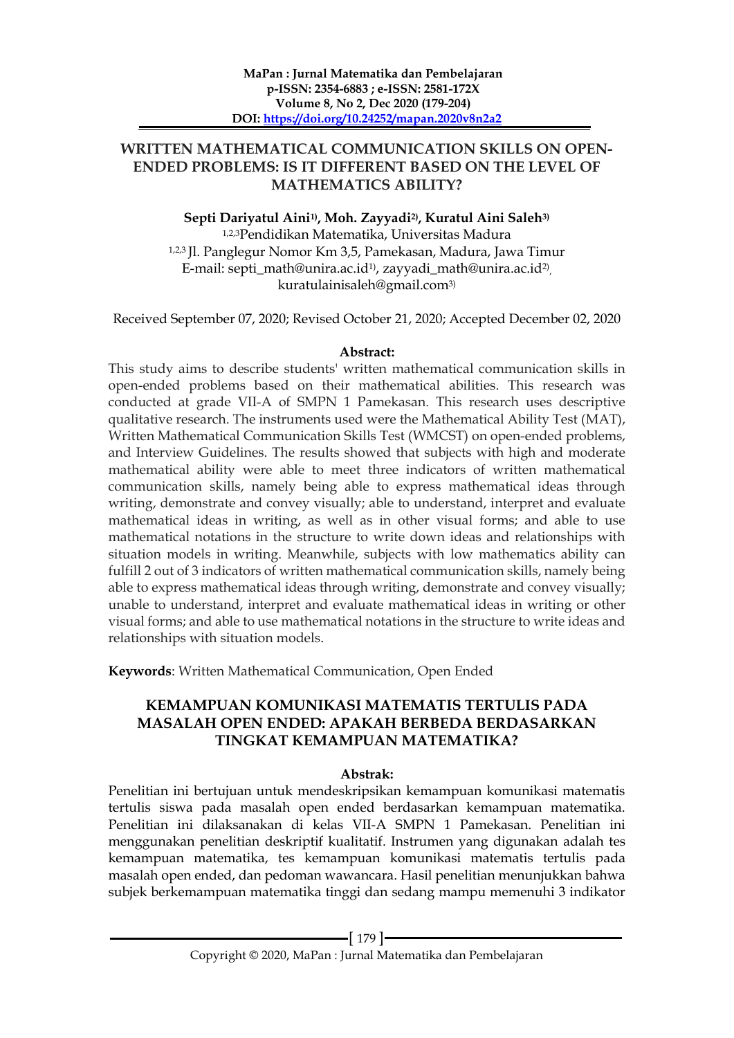## **WRITTEN MATHEMATICAL COMMUNICATION SKILLS ON OPEN-ENDED PROBLEMS: IS IT DIFFERENT BASED ON THE LEVEL OF MATHEMATICS ABILITY?**

**Septi Dariyatul Aini1) , Moh. Zayyadi2) , Kuratul Aini Saleh3)** 1,2,3Pendidikan Matematika, Universitas Madura 1,2,3 Jl. Panglegur Nomor Km 3,5, Pamekasan, Madura, Jawa Timur E-mail: septi\_math@unira.ac.id<sup>1)</sup>, zayyadi\_math@unira.ac.id<sup>2)</sup>, kuratulainisaleh@gmail.com3)

Received September 07, 2020; Revised October 21, 2020; Accepted December 02, 2020

### **Abstract:**

This study aims to describe students' written mathematical communication skills in open-ended problems based on their mathematical abilities. This research was conducted at grade VII-A of SMPN 1 Pamekasan. This research uses descriptive qualitative research. The instruments used were the Mathematical Ability Test (MAT), Written Mathematical Communication Skills Test (WMCST) on open-ended problems, and Interview Guidelines. The results showed that subjects with high and moderate mathematical ability were able to meet three indicators of written mathematical communication skills, namely being able to express mathematical ideas through writing, demonstrate and convey visually; able to understand, interpret and evaluate mathematical ideas in writing, as well as in other visual forms; and able to use mathematical notations in the structure to write down ideas and relationships with situation models in writing. Meanwhile, subjects with low mathematics ability can fulfill 2 out of 3 indicators of written mathematical communication skills, namely being able to express mathematical ideas through writing, demonstrate and convey visually; unable to understand, interpret and evaluate mathematical ideas in writing or other visual forms; and able to use mathematical notations in the structure to write ideas and relationships with situation models.

**Keywords**: Written Mathematical Communication, Open Ended

# **KEMAMPUAN KOMUNIKASI MATEMATIS TERTULIS PADA MASALAH OPEN ENDED: APAKAH BERBEDA BERDASARKAN TINGKAT KEMAMPUAN MATEMATIKA?**

## **Abstrak:**

Penelitian ini bertujuan untuk mendeskripsikan kemampuan komunikasi matematis tertulis siswa pada masalah open ended berdasarkan kemampuan matematika. Penelitian ini dilaksanakan di kelas VII-A SMPN 1 Pamekasan. Penelitian ini menggunakan penelitian deskriptif kualitatif. Instrumen yang digunakan adalah tes kemampuan matematika, tes kemampuan komunikasi matematis tertulis pada masalah open ended, dan pedoman wawancara. Hasil penelitian menunjukkan bahwa subjek berkemampuan matematika tinggi dan sedang mampu memenuhi 3 indikator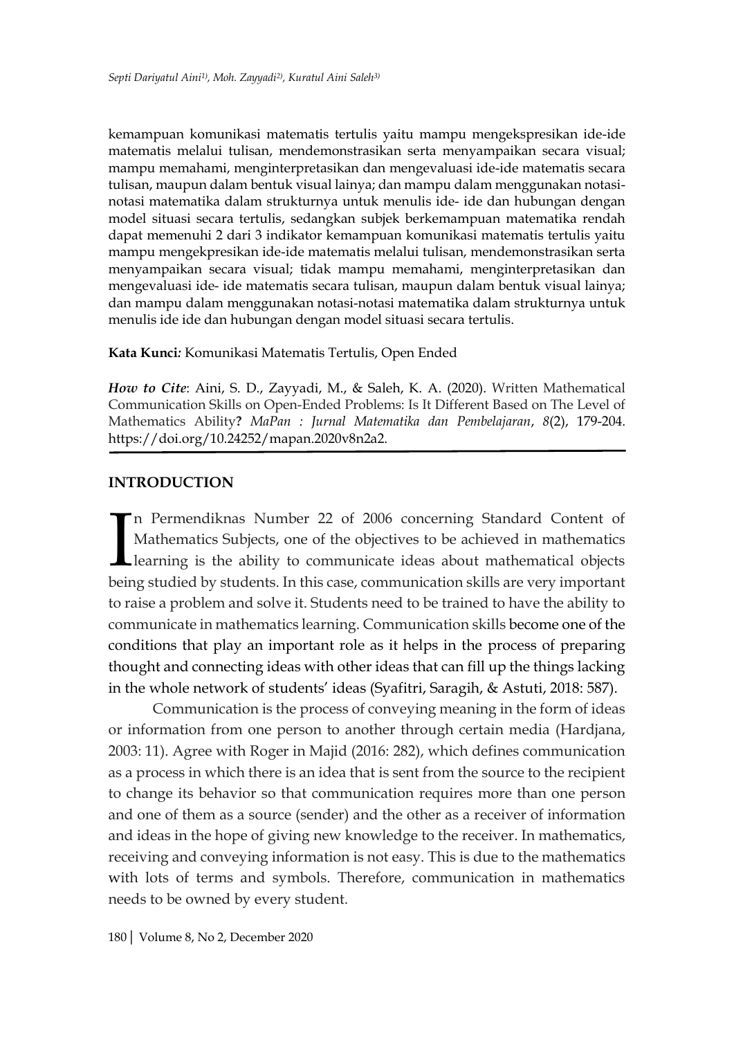kemampuan komunikasi matematis tertulis yaitu mampu mengekspresikan ide-ide matematis melalui tulisan, mendemonstrasikan serta menyampaikan secara visual; mampu memahami, menginterpretasikan dan mengevaluasi ide-ide matematis secara tulisan, maupun dalam bentuk visual lainya; dan mampu dalam menggunakan notasinotasi matematika dalam strukturnya untuk menulis ide- ide dan hubungan dengan model situasi secara tertulis, sedangkan subjek berkemampuan matematika rendah dapat memenuhi 2 dari 3 indikator kemampuan komunikasi matematis tertulis yaitu mampu mengekpresikan ide-ide matematis melalui tulisan, mendemonstrasikan serta menyampaikan secara visual; tidak mampu memahami, menginterpretasikan dan mengevaluasi ide- ide matematis secara tulisan, maupun dalam bentuk visual lainya; dan mampu dalam menggunakan notasi-notasi matematika dalam strukturnya untuk menulis ide ide dan hubungan dengan model situasi secara tertulis.

**Kata Kunci***:* Komunikasi Matematis Tertulis, Open Ended

*How to Cite*: Aini, S. D., Zayyadi, M., & Saleh, K. A. (2020). Written Mathematical Communication Skills on Open-Ended Problems: Is It Different Based on The Level of Mathematics Ability**?** *MaPan : Jurnal Matematika dan Pembelajaran*, *8*(2), 179-204. https://doi.org/10.24252/mapan.2020v8n2a2.

### **INTRODUCTION**

n Permendiknas Number 22 of 2006 concerning Standard Content of Mathematics Subjects, one of the objectives to be achieved in mathematics learning is the ability to communicate ideas about mathematical objects being studied by students. In this case, communication skills are very important to raise a problem and solve it. Students need to be trained to have the ability to communicate in mathematics learning. Communication skills become one of the conditions that play an important role as it helps in the process of preparing thought and connecting ideas with other ideas that can fill up the things lacking in the whole network of students' ideas (Syafitri, Saragih, & Astuti, 2018: 587). I<br>heir

Communication is the process of conveying meaning in the form of ideas or information from one person to another through certain media (Hardjana, 2003: 11). Agree with Roger in Majid (2016: 282), which defines communication as a process in which there is an idea that is sent from the source to the recipient to change its behavior so that communication requires more than one person and one of them as a source (sender) and the other as a receiver of information and ideas in the hope of giving new knowledge to the receiver. In mathematics, receiving and conveying information is not easy. This is due to the mathematics with lots of terms and symbols. Therefore, communication in mathematics needs to be owned by every student.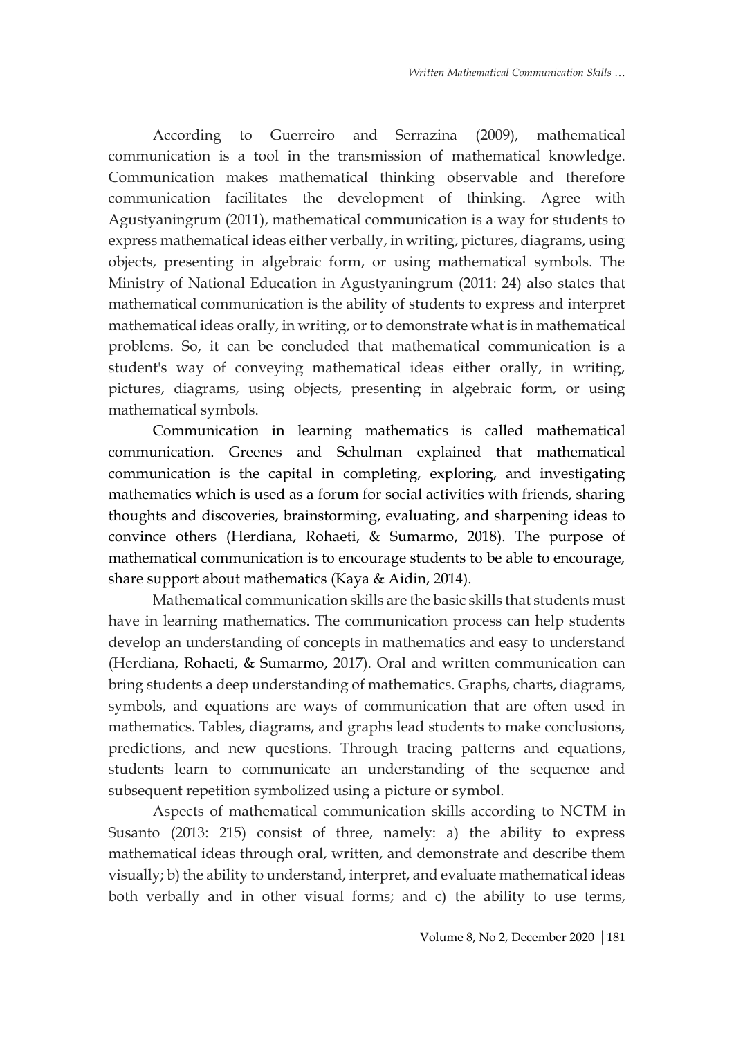According to Guerreiro and Serrazina (2009), mathematical communication is a tool in the transmission of mathematical knowledge. Communication makes mathematical thinking observable and therefore communication facilitates the development of thinking. Agree with Agustyaningrum (2011), mathematical communication is a way for students to express mathematical ideas either verbally, in writing, pictures, diagrams, using objects, presenting in algebraic form, or using mathematical symbols. The Ministry of National Education in Agustyaningrum (2011: 24) also states that mathematical communication is the ability of students to express and interpret mathematical ideas orally, in writing, or to demonstrate what is in mathematical problems. So, it can be concluded that mathematical communication is a student's way of conveying mathematical ideas either orally, in writing, pictures, diagrams, using objects, presenting in algebraic form, or using mathematical symbols.

Communication in learning mathematics is called mathematical communication. Greenes and Schulman explained that mathematical communication is the capital in completing, exploring, and investigating mathematics which is used as a forum for social activities with friends, sharing thoughts and discoveries, brainstorming, evaluating, and sharpening ideas to convince others (Herdiana, Rohaeti, & Sumarmo, 2018). The purpose of mathematical communication is to encourage students to be able to encourage, share support about mathematics (Kaya & Aidin, 2014).

Mathematical communication skills are the basic skills that students must have in learning mathematics. The communication process can help students develop an understanding of concepts in mathematics and easy to understand (Herdiana, Rohaeti, & Sumarmo, 2017). Oral and written communication can bring students a deep understanding of mathematics. Graphs, charts, diagrams, symbols, and equations are ways of communication that are often used in mathematics. Tables, diagrams, and graphs lead students to make conclusions, predictions, and new questions. Through tracing patterns and equations, students learn to communicate an understanding of the sequence and subsequent repetition symbolized using a picture or symbol.

Aspects of mathematical communication skills according to NCTM in Susanto (2013: 215) consist of three, namely: a) the ability to express mathematical ideas through oral, written, and demonstrate and describe them visually; b) the ability to understand, interpret, and evaluate mathematical ideas both verbally and in other visual forms; and c) the ability to use terms,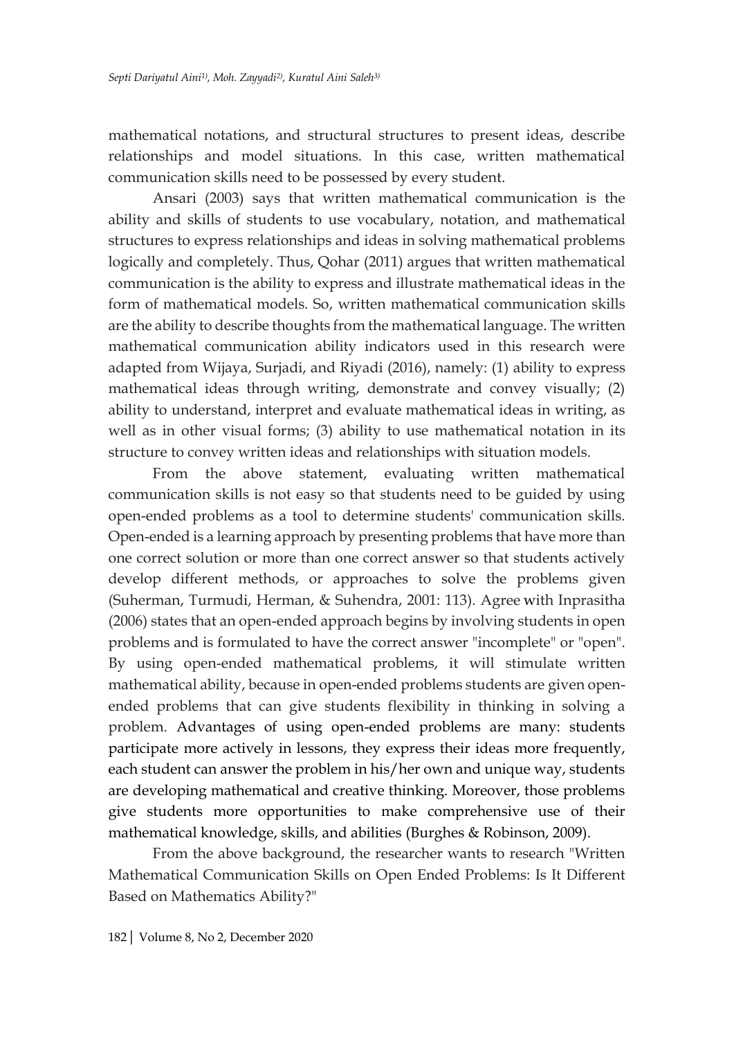mathematical notations, and structural structures to present ideas, describe relationships and model situations. In this case, written mathematical communication skills need to be possessed by every student.

Ansari (2003) says that written mathematical communication is the ability and skills of students to use vocabulary, notation, and mathematical structures to express relationships and ideas in solving mathematical problems logically and completely. Thus, Qohar (2011) argues that written mathematical communication is the ability to express and illustrate mathematical ideas in the form of mathematical models. So, written mathematical communication skills are the ability to describe thoughts from the mathematical language. The written mathematical communication ability indicators used in this research were adapted from Wijaya, Surjadi, and Riyadi (2016), namely: (1) ability to express mathematical ideas through writing, demonstrate and convey visually; (2) ability to understand, interpret and evaluate mathematical ideas in writing, as well as in other visual forms; (3) ability to use mathematical notation in its structure to convey written ideas and relationships with situation models.

From the above statement, evaluating written mathematical communication skills is not easy so that students need to be guided by using open-ended problems as a tool to determine students' communication skills. Open-ended is a learning approach by presenting problems that have more than one correct solution or more than one correct answer so that students actively develop different methods, or approaches to solve the problems given (Suherman, Turmudi, Herman, & Suhendra, 2001: 113). Agree with Inprasitha (2006) states that an open-ended approach begins by involving students in open problems and is formulated to have the correct answer "incomplete" or "open". By using open-ended mathematical problems, it will stimulate written mathematical ability, because in open-ended problems students are given openended problems that can give students flexibility in thinking in solving a problem. Advantages of using open-ended problems are many: students participate more actively in lessons, they express their ideas more frequently, each student can answer the problem in his/her own and unique way, students are developing mathematical and creative thinking. Moreover, those problems give students more opportunities to make comprehensive use of their mathematical knowledge, skills, and abilities (Burghes & Robinson, 2009).

From the above background, the researcher wants to research "Written Mathematical Communication Skills on Open Ended Problems: Is It Different Based on Mathematics Ability?"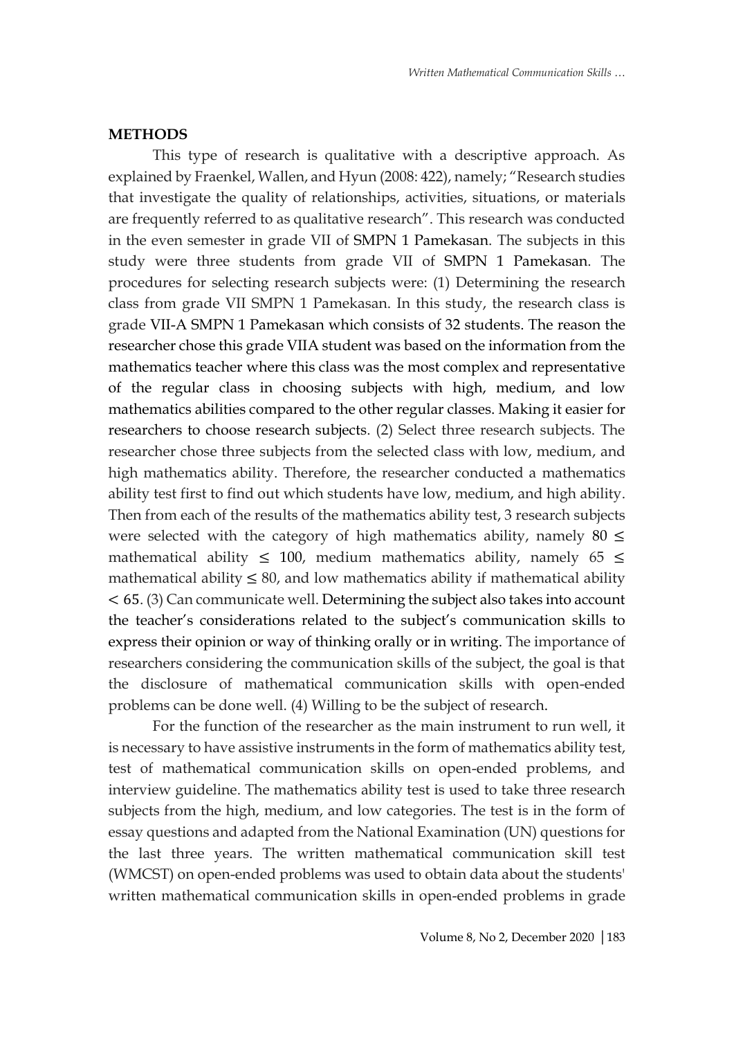#### **METHODS**

This type of research is qualitative with a descriptive approach. As explained by Fraenkel, Wallen, and Hyun (2008: 422), namely; "Research studies that investigate the quality of relationships, activities, situations, or materials are frequently referred to as qualitative research". This research was conducted in the even semester in grade VII of SMPN 1 Pamekasan. The subjects in this study were three students from grade VII of SMPN 1 Pamekasan. The procedures for selecting research subjects were: (1) Determining the research class from grade VII SMPN 1 Pamekasan. In this study, the research class is grade VII-A SMPN 1 Pamekasan which consists of 32 students. The reason the researcher chose this grade VIIA student was based on the information from the mathematics teacher where this class was the most complex and representative of the regular class in choosing subjects with high, medium, and low mathematics abilities compared to the other regular classes. Making it easier for researchers to choose research subjects. (2) Select three research subjects. The researcher chose three subjects from the selected class with low, medium, and high mathematics ability. Therefore, the researcher conducted a mathematics ability test first to find out which students have low, medium, and high ability. Then from each of the results of the mathematics ability test, 3 research subjects were selected with the category of high mathematics ability, namely 80  $\leq$ mathematical ability  $\leq 100$ , medium mathematics ability, namely 65  $\leq$ mathematical ability  $\leq 80$ , and low mathematics ability if mathematical ability < 65. (3) Can communicate well. Determining the subject also takes into account the teacher's considerations related to the subject's communication skills to express their opinion or way of thinking orally or in writing. The importance of researchers considering the communication skills of the subject, the goal is that the disclosure of mathematical communication skills with open-ended problems can be done well. (4) Willing to be the subject of research.

For the function of the researcher as the main instrument to run well, it is necessary to have assistive instruments in the form of mathematics ability test, test of mathematical communication skills on open-ended problems, and interview guideline. The mathematics ability test is used to take three research subjects from the high, medium, and low categories. The test is in the form of essay questions and adapted from the National Examination (UN) questions for the last three years. The written mathematical communication skill test (WMCST) on open-ended problems was used to obtain data about the students' written mathematical communication skills in open-ended problems in grade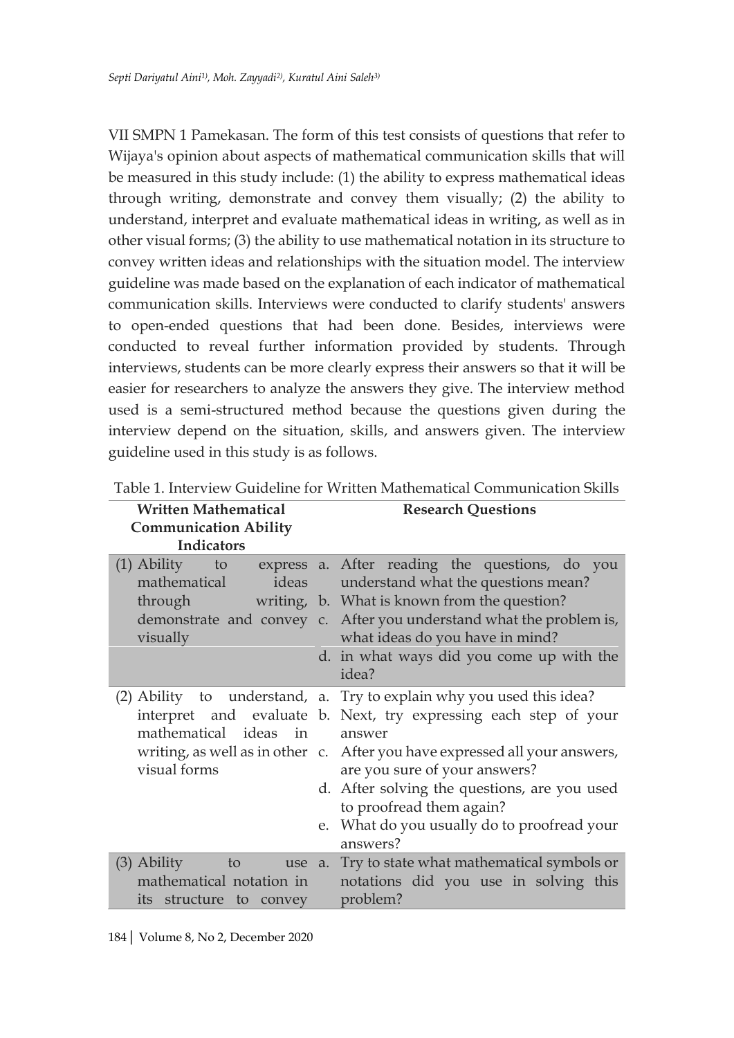VII SMPN 1 Pamekasan. The form of this test consists of questions that refer to Wijaya's opinion about aspects of mathematical communication skills that will be measured in this study include: (1) the ability to express mathematical ideas through writing, demonstrate and convey them visually; (2) the ability to understand, interpret and evaluate mathematical ideas in writing, as well as in other visual forms; (3) the ability to use mathematical notation in its structure to convey written ideas and relationships with the situation model. The interview guideline was made based on the explanation of each indicator of mathematical communication skills. Interviews were conducted to clarify students' answers to open-ended questions that had been done. Besides, interviews were conducted to reveal further information provided by students. Through interviews, students can be more clearly express their answers so that it will be easier for researchers to analyze the answers they give. The interview method used is a semi-structured method because the questions given during the interview depend on the situation, skills, and answers given. The interview guideline used in this study is as follows.

| <b>Written Mathematical</b>                                          | <b>Research Questions</b>                                                                                                                                                                                                                                                                                                                                                                                |  |  |
|----------------------------------------------------------------------|----------------------------------------------------------------------------------------------------------------------------------------------------------------------------------------------------------------------------------------------------------------------------------------------------------------------------------------------------------------------------------------------------------|--|--|
| <b>Communication Ability</b>                                         |                                                                                                                                                                                                                                                                                                                                                                                                          |  |  |
| <b>Indicators</b>                                                    |                                                                                                                                                                                                                                                                                                                                                                                                          |  |  |
| $(1)$ Ability to<br>mathematical<br>through<br>visually              | express a. After reading the questions, do you<br>ideas understand what the questions mean?<br>writing, b. What is known from the question?<br>demonstrate and convey c. After you understand what the problem is,<br>what ideas do you have in mind?<br>d. in what ways did you come up with the<br>idea?                                                                                               |  |  |
| mathematical ideas in<br>visual forms                                | (2) Ability to understand, a. Try to explain why you used this idea?<br>interpret and evaluate b. Next, try expressing each step of your<br>answer<br>writing, as well as in other c. After you have expressed all your answers,<br>are you sure of your answers?<br>d. After solving the questions, are you used<br>to proofread them again?<br>e. What do you usually do to proofread your<br>answers? |  |  |
| $(3)$ Ability<br>mathematical notation in<br>its structure to convey | to use a. Try to state what mathematical symbols or<br>notations did you use in solving this<br>problem?                                                                                                                                                                                                                                                                                                 |  |  |

Table 1. Interview Guideline for Written Mathematical Communication Skills

184| Volume 8, No 2, December 2020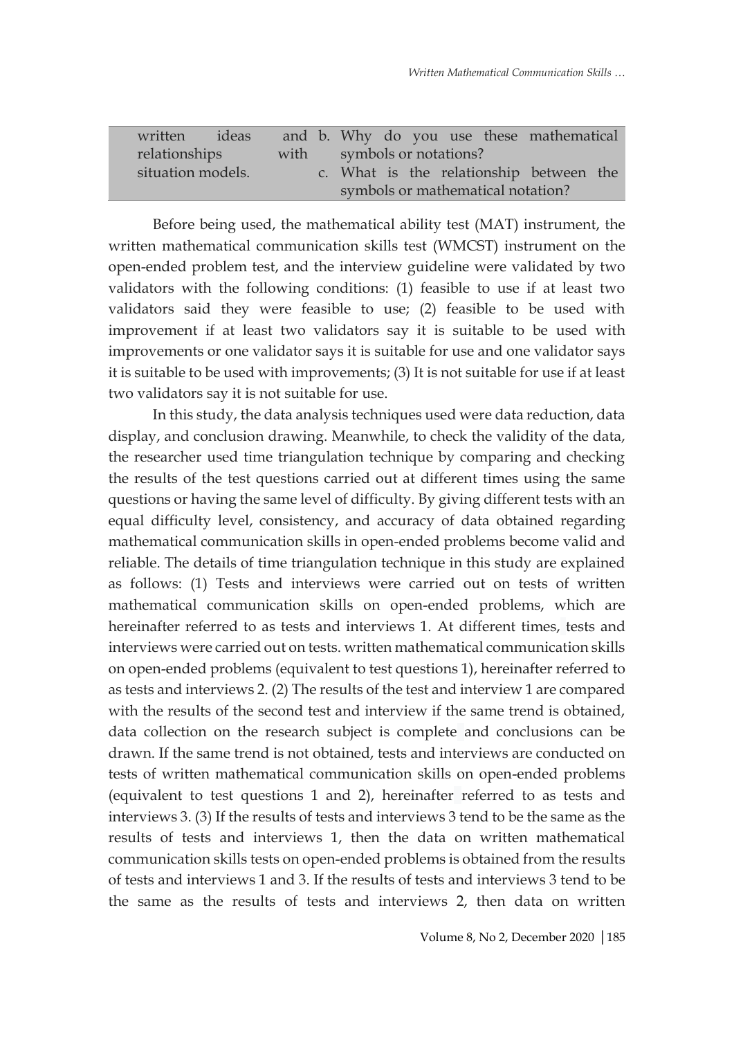| written           | deas |  |                            |  |  |  |  | and b. Why do you use these mathematical |  |
|-------------------|------|--|----------------------------|--|--|--|--|------------------------------------------|--|
| relationships     |      |  | with symbols or notations? |  |  |  |  |                                          |  |
| situation models. |      |  |                            |  |  |  |  | c. What is the relationship between the  |  |
|                   |      |  |                            |  |  |  |  | symbols or mathematical notation?        |  |

Before being used, the mathematical ability test (MAT) instrument, the written mathematical communication skills test (WMCST) instrument on the open-ended problem test, and the interview guideline were validated by two validators with the following conditions: (1) feasible to use if at least two validators said they were feasible to use; (2) feasible to be used with improvement if at least two validators say it is suitable to be used with improvements or one validator says it is suitable for use and one validator says it is suitable to be used with improvements; (3) It is not suitable for use if at least two validators say it is not suitable for use.

In this study, the data analysis techniques used were data reduction, data display, and conclusion drawing. Meanwhile, to check the validity of the data, the researcher used time triangulation technique by comparing and checking the results of the test questions carried out at different times using the same questions or having the same level of difficulty. By giving different tests with an equal difficulty level, consistency, and accuracy of data obtained regarding mathematical communication skills in open-ended problems become valid and reliable. The details of time triangulation technique in this study are explained as follows: (1) Tests and interviews were carried out on tests of written mathematical communication skills on open-ended problems, which are hereinafter referred to as tests and interviews 1. At different times, tests and interviews were carried out on tests. written mathematical communication skills on open-ended problems (equivalent to test questions 1), hereinafter referred to as tests and interviews 2. (2) The results of the test and interview 1 are compared with the results of the second test and interview if the same trend is obtained, data collection on the research subject is complete and conclusions can be drawn. If the same trend is not obtained, tests and interviews are conducted on tests of written mathematical communication skills on open-ended problems (equivalent to test questions 1 and 2), hereinafter referred to as tests and interviews 3. (3) If the results of tests and interviews 3 tend to be the same as the results of tests and interviews 1, then the data on written mathematical communication skills tests on open-ended problems is obtained from the results of tests and interviews 1 and 3. If the results of tests and interviews 3 tend to be the same as the results of tests and interviews 2, then data on written

Volume 8, No 2, December 2020 |185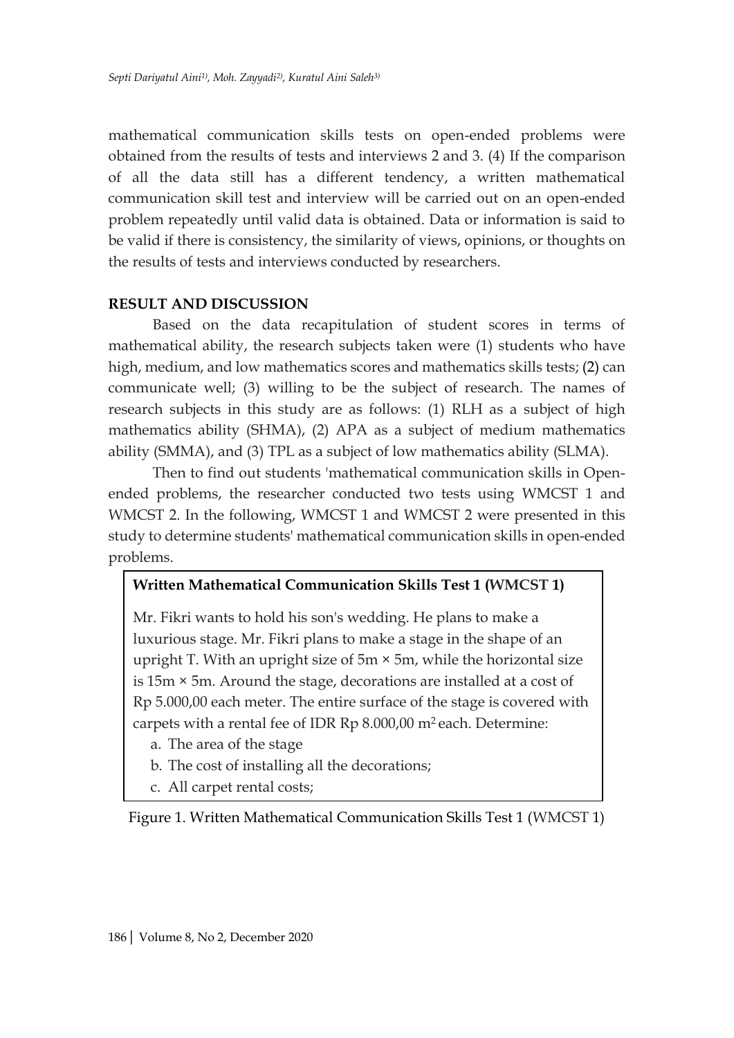mathematical communication skills tests on open-ended problems were obtained from the results of tests and interviews 2 and 3. (4) If the comparison of all the data still has a different tendency, a written mathematical communication skill test and interview will be carried out on an open-ended problem repeatedly until valid data is obtained. Data or information is said to be valid if there is consistency, the similarity of views, opinions, or thoughts on the results of tests and interviews conducted by researchers.

## **RESULT AND DISCUSSION**

Based on the data recapitulation of student scores in terms of mathematical ability, the research subjects taken were (1) students who have high, medium, and low mathematics scores and mathematics skills tests; (2) can communicate well; (3) willing to be the subject of research. The names of research subjects in this study are as follows: (1) RLH as a subject of high mathematics ability (SHMA), (2) APA as a subject of medium mathematics ability (SMMA), and (3) TPL as a subject of low mathematics ability (SLMA).

Then to find out students 'mathematical communication skills in Openended problems, the researcher conducted two tests using WMCST 1 and WMCST 2. In the following, WMCST 1 and WMCST 2 were presented in this study to determine students' mathematical communication skills in open-ended problems.

## **Written Mathematical Communication Skills Test 1 (WMCST 1)**

Mr. Fikri wants to hold his son's wedding. He plans to make a luxurious stage. Mr. Fikri plans to make a stage in the shape of an upright T. With an upright size of  $5m \times 5m$ , while the horizontal size is 15m × 5m. Around the stage, decorations are installed at a cost of Rp 5.000,00 each meter. The entire surface of the stage is covered with carpets with a rental fee of IDR Rp 8.000,00 m<sup>2</sup> each. Determine:

- a. The area of the stage
- b. The cost of installing all the decorations;
- c. All carpet rental costs;

Figure 1. Written Mathematical Communication Skills Test 1 (WMCST 1)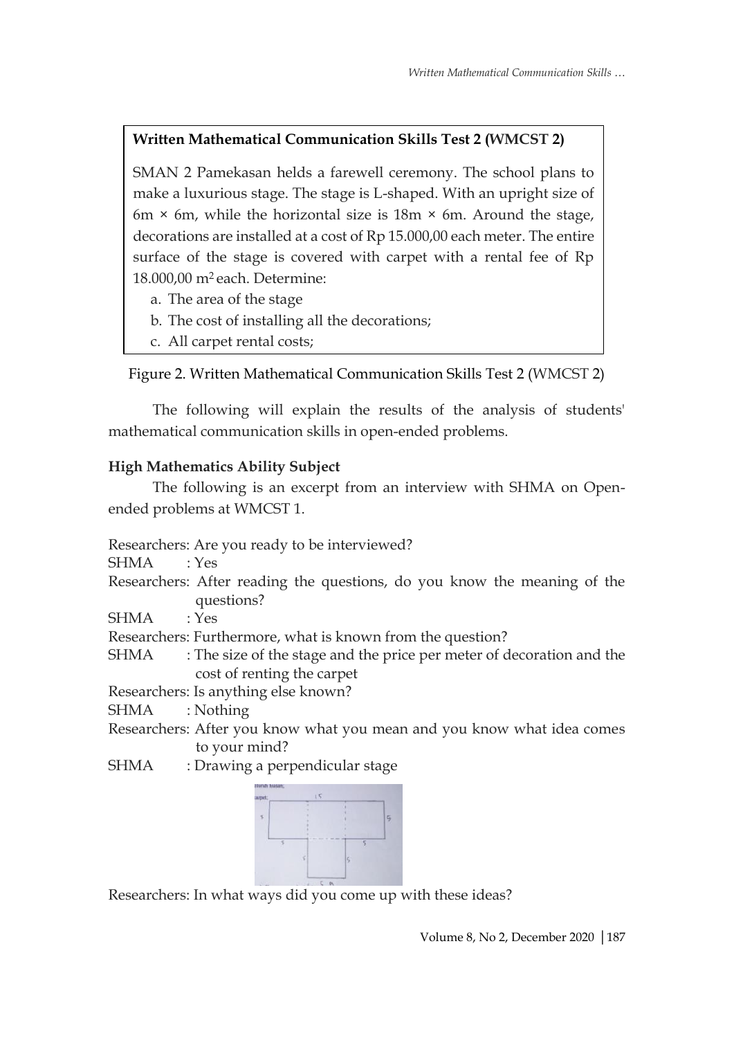# **Written Mathematical Communication Skills Test 2 (WMCST 2)**

SMAN 2 Pamekasan helds a farewell ceremony. The school plans to make a luxurious stage. The stage is L-shaped. With an upright size of 6m  $\times$  6m, while the horizontal size is 18m  $\times$  6m. Around the stage, decorations are installed at a cost of Rp 15.000,00 each meter. The entire surface of the stage is covered with carpet with a rental fee of Rp 18.000,00 m<sup>2</sup> each. Determine:

- a. The area of the stage
- b. The cost of installing all the decorations;
- c. All carpet rental costs;

# Figure 2. Written Mathematical Communication Skills Test 2 (WMCST 2)

The following will explain the results of the analysis of students' mathematical communication skills in open-ended problems.

# **High Mathematics Ability Subject**

The following is an excerpt from an interview with SHMA on Openended problems at WMCST 1.

Researchers: Are you ready to be interviewed?

SHMA : Yes

Researchers: After reading the questions, do you know the meaning of the questions?

SHMA : Yes

Researchers: Furthermore, what is known from the question?

SHMA : The size of the stage and the price per meter of decoration and the cost of renting the carpet

Researchers: Is anything else known?

SHMA : Nothing

- Researchers: After you know what you mean and you know what idea comes to your mind?
- SHMA : Drawing a perpendicular stage



Researchers: In what ways did you come up with these ideas?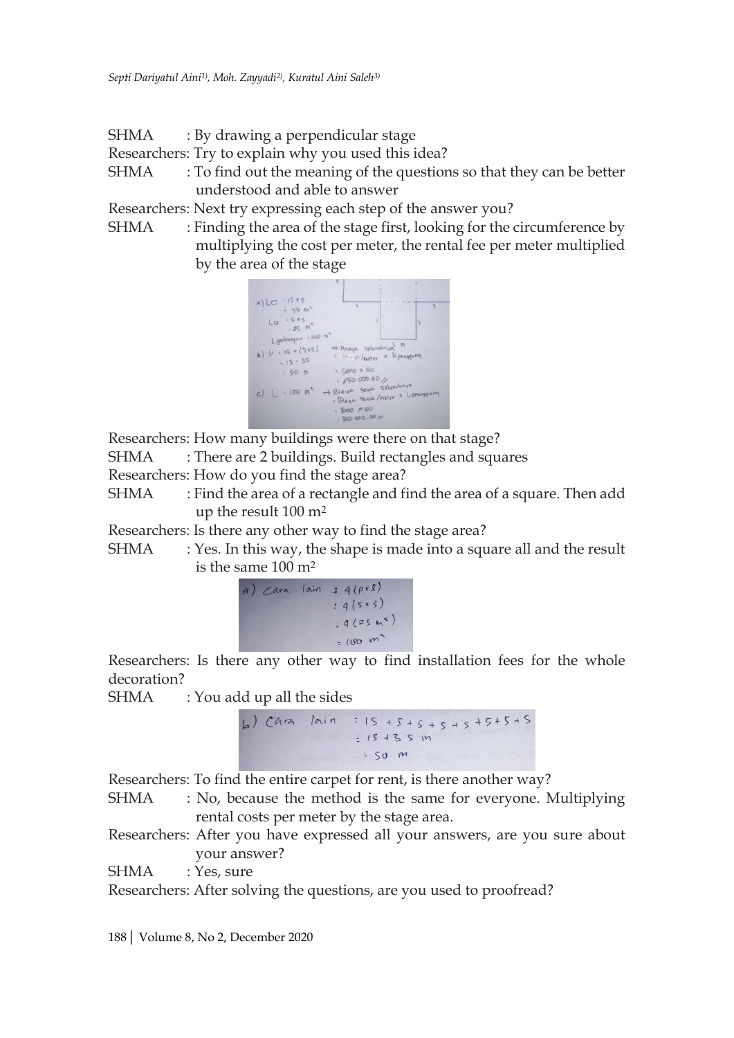SHMA : By drawing a perpendicular stage

Researchers: Try to explain why you used this idea?

SHMA : To find out the meaning of the questions so that they can be better understood and able to answer

Researchers: Next try expressing each step of the answer you?

SHMA : Finding the area of the stage first, looking for the circumference by multiplying the cost per meter, the rental fee per meter multiplied by the area of the stage



Researchers: How many buildings were there on that stage?

SHMA : There are 2 buildings. Build rectangles and squares

Researchers: How do you find the stage area?

SHMA : Find the area of a rectangle and find the area of a square. Then add up the result 100 m<sup>2</sup>

Researchers: Is there any other way to find the stage area?

SHMA : Yes. In this way, the shape is made into a square all and the result is the same 100 m<sup>2</sup>

| g( | Carz lain : 4 (pxl) |
|----|---------------------|
|    | $: 4(5*5)$          |
|    | $: 9(25m^{2})$      |
|    | $=100 m2$           |

Researchers: Is there any other way to find installation fees for the whole decoration?

SHMA : You add up all the sides



Researchers: To find the entire carpet for rent, is there another way?

- SHMA : No, because the method is the same for everyone. Multiplying rental costs per meter by the stage area.
- Researchers: After you have expressed all your answers, are you sure about your answer?

SHMA : Yes, sure

Researchers: After solving the questions, are you used to proofread?

188| Volume 8, No 2, December 2020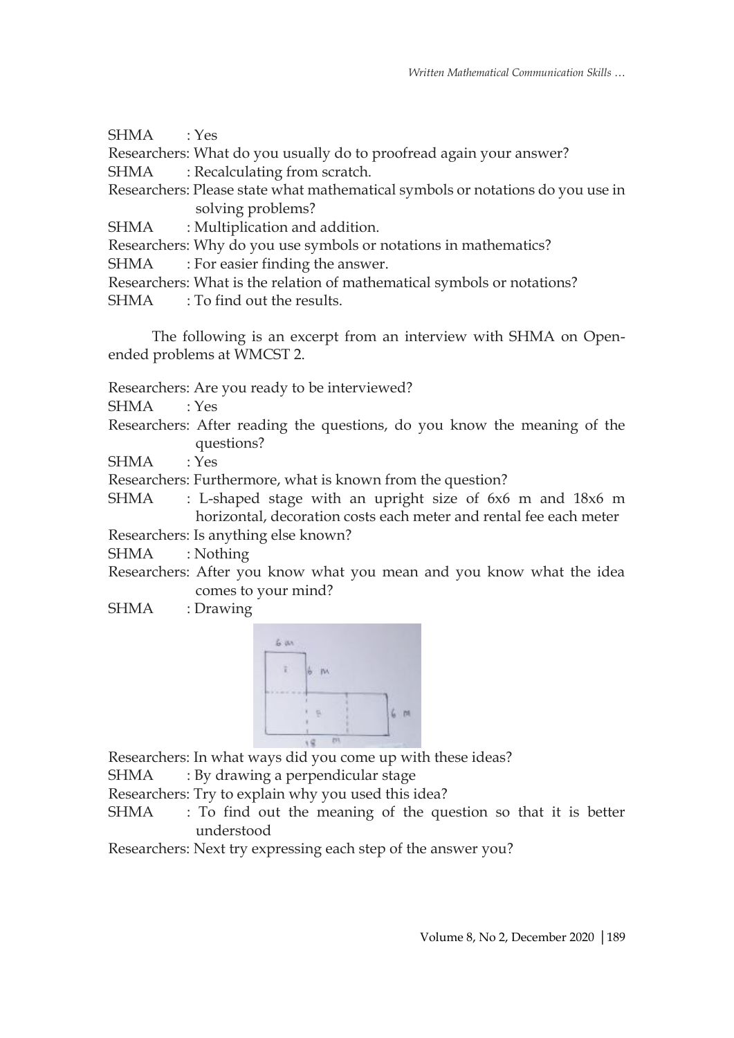| SHMA : Yes |                                                                                |
|------------|--------------------------------------------------------------------------------|
|            | Researchers: What do you usually do to proofread again your answer?            |
|            | SHMA : Recalculating from scratch.                                             |
|            | Researchers: Please state what mathematical symbols or notations do you use in |
|            | solving problems?                                                              |
|            | SHMA : Multiplication and addition.                                            |
|            | Researchers: Why do you use symbols or notations in mathematics?               |
| SHMA       | : For easier finding the answer.                                               |
|            | Researchers: What is the relation of mathematical symbols or notations?        |
|            |                                                                                |

SHMA : To find out the results.

The following is an excerpt from an interview with SHMA on Openended problems at WMCST 2.

Researchers: Are you ready to be interviewed?

SHMA : Yes

Researchers: After reading the questions, do you know the meaning of the questions?

SHMA : Yes

Researchers: Furthermore, what is known from the question?

SHMA : L-shaped stage with an upright size of 6x6 m and 18x6 m horizontal, decoration costs each meter and rental fee each meter Researchers: Is anything else known?

SHMA : Nothing

- Researchers: After you know what you mean and you know what the idea comes to your mind?
- SHMA : Drawing



Researchers: In what ways did you come up with these ideas?

SHMA : By drawing a perpendicular stage

Researchers: Try to explain why you used this idea?

SHMA : To find out the meaning of the question so that it is better understood

Researchers: Next try expressing each step of the answer you?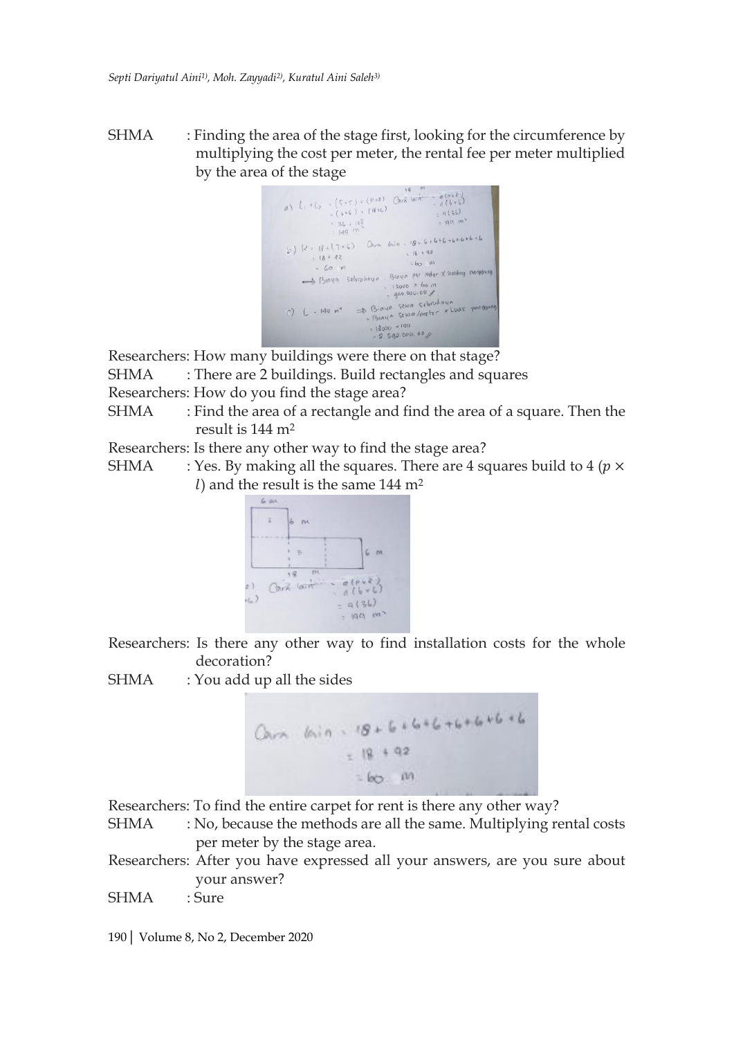SHMA : Finding the area of the stage first, looking for the circumference by multiplying the cost per meter, the rental fee per meter multiplied



Researchers: How many buildings were there on that stage?

SHMA : There are 2 buildings. Build rectangles and squares

Researchers: How do you find the stage area?

SHMA : Find the area of a rectangle and find the area of a square. Then the result is 144 m<sup>2</sup>

Researchers: Is there any other way to find the stage area?

SHMA : Yes. By making all the squares. There are 4 squares build to 4 ( $p \times$ l) and the result is the same  $144 \text{ m}^2$ 



Researchers: Is there any other way to find installation costs for the whole decoration?

SHMA : You add up all the sides



Researchers: To find the entire carpet for rent is there any other way?

SHMA : No, because the methods are all the same. Multiplying rental costs per meter by the stage area.

Researchers: After you have expressed all your answers, are you sure about your answer?

SHMA : Sure

190| Volume 8, No 2, December 2020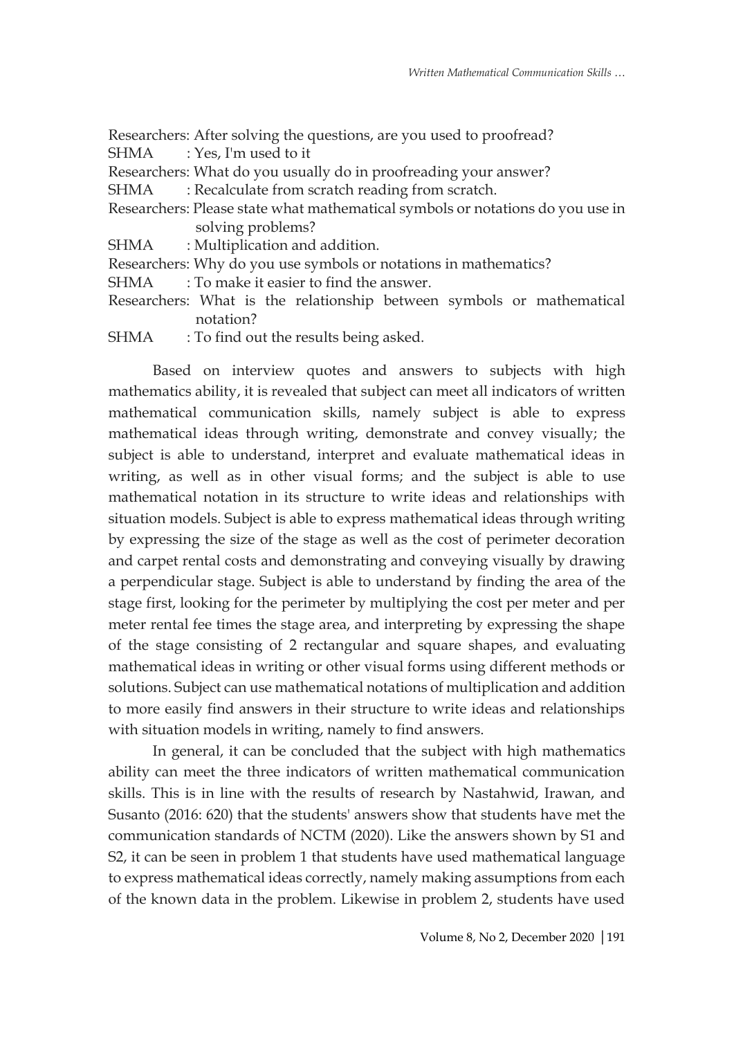Researchers: After solving the questions, are you used to proofread?

SHMA : Yes, I'm used to it

- Researchers: What do you usually do in proofreading your answer?
- SHMA : Recalculate from scratch reading from scratch.
- Researchers: Please state what mathematical symbols or notations do you use in solving problems?
- SHMA : Multiplication and addition.
- Researchers: Why do you use symbols or notations in mathematics?
- SHMA : To make it easier to find the answer.
- Researchers: What is the relationship between symbols or mathematical notation?
- SHMA : To find out the results being asked.

Based on interview quotes and answers to subjects with high mathematics ability, it is revealed that subject can meet all indicators of written mathematical communication skills, namely subject is able to express mathematical ideas through writing, demonstrate and convey visually; the subject is able to understand, interpret and evaluate mathematical ideas in writing, as well as in other visual forms; and the subject is able to use mathematical notation in its structure to write ideas and relationships with situation models. Subject is able to express mathematical ideas through writing by expressing the size of the stage as well as the cost of perimeter decoration and carpet rental costs and demonstrating and conveying visually by drawing a perpendicular stage. Subject is able to understand by finding the area of the stage first, looking for the perimeter by multiplying the cost per meter and per meter rental fee times the stage area, and interpreting by expressing the shape of the stage consisting of 2 rectangular and square shapes, and evaluating mathematical ideas in writing or other visual forms using different methods or solutions. Subject can use mathematical notations of multiplication and addition to more easily find answers in their structure to write ideas and relationships with situation models in writing, namely to find answers.

In general, it can be concluded that the subject with high mathematics ability can meet the three indicators of written mathematical communication skills. This is in line with the results of research by Nastahwid, Irawan, and Susanto (2016: 620) that the students' answers show that students have met the communication standards of NCTM (2020). Like the answers shown by S1 and S2, it can be seen in problem 1 that students have used mathematical language to express mathematical ideas correctly, namely making assumptions from each of the known data in the problem. Likewise in problem 2, students have used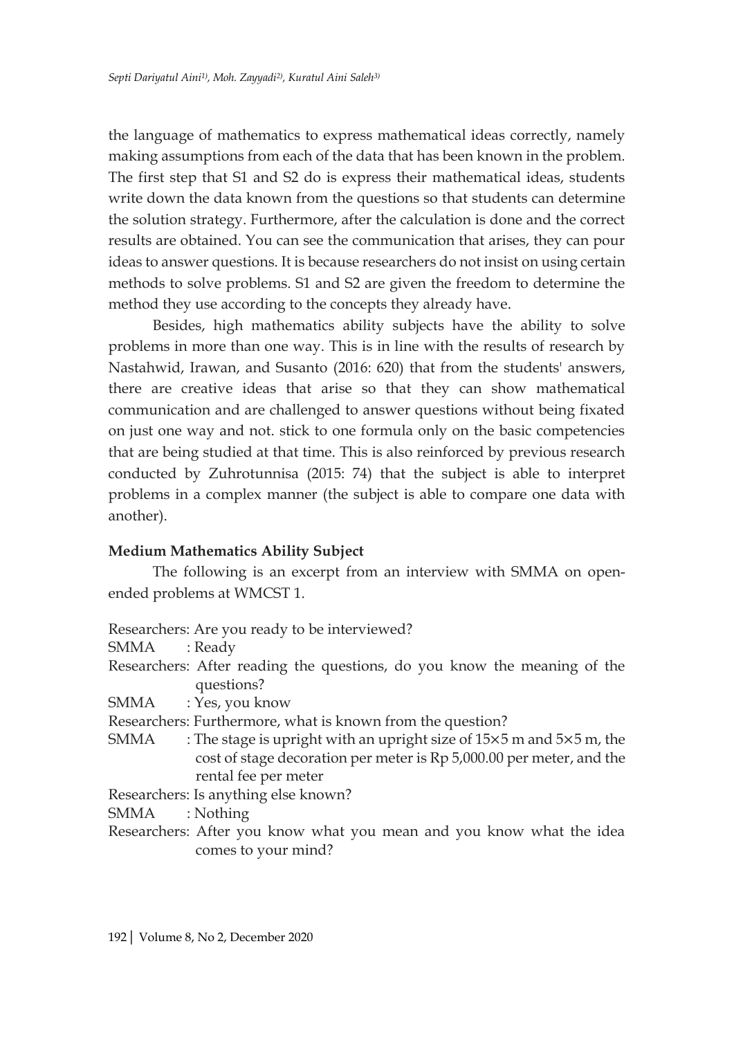the language of mathematics to express mathematical ideas correctly, namely making assumptions from each of the data that has been known in the problem. The first step that S1 and S2 do is express their mathematical ideas, students write down the data known from the questions so that students can determine the solution strategy. Furthermore, after the calculation is done and the correct results are obtained. You can see the communication that arises, they can pour ideas to answer questions. It is because researchers do not insist on using certain methods to solve problems. S1 and S2 are given the freedom to determine the method they use according to the concepts they already have.

Besides, high mathematics ability subjects have the ability to solve problems in more than one way. This is in line with the results of research by Nastahwid, Irawan, and Susanto (2016: 620) that from the students' answers, there are creative ideas that arise so that they can show mathematical communication and are challenged to answer questions without being fixated on just one way and not. stick to one formula only on the basic competencies that are being studied at that time. This is also reinforced by previous research conducted by Zuhrotunnisa (2015: 74) that the subject is able to interpret problems in a complex manner (the subject is able to compare one data with another).

## **Medium Mathematics Ability Subject**

The following is an excerpt from an interview with SMMA on openended problems at WMCST 1.

- Researchers: Are you ready to be interviewed?
- SMMA : Ready
- Researchers: After reading the questions, do you know the meaning of the questions?
- SMMA : Yes, you know
- Researchers: Furthermore, what is known from the question?
- SMMA : The stage is upright with an upright size of  $15\times5$  m and  $5\times5$  m, the cost of stage decoration per meter is Rp 5,000.00 per meter, and the rental fee per meter
- Researchers: Is anything else known?

SMMA : Nothing

Researchers: After you know what you mean and you know what the idea comes to your mind?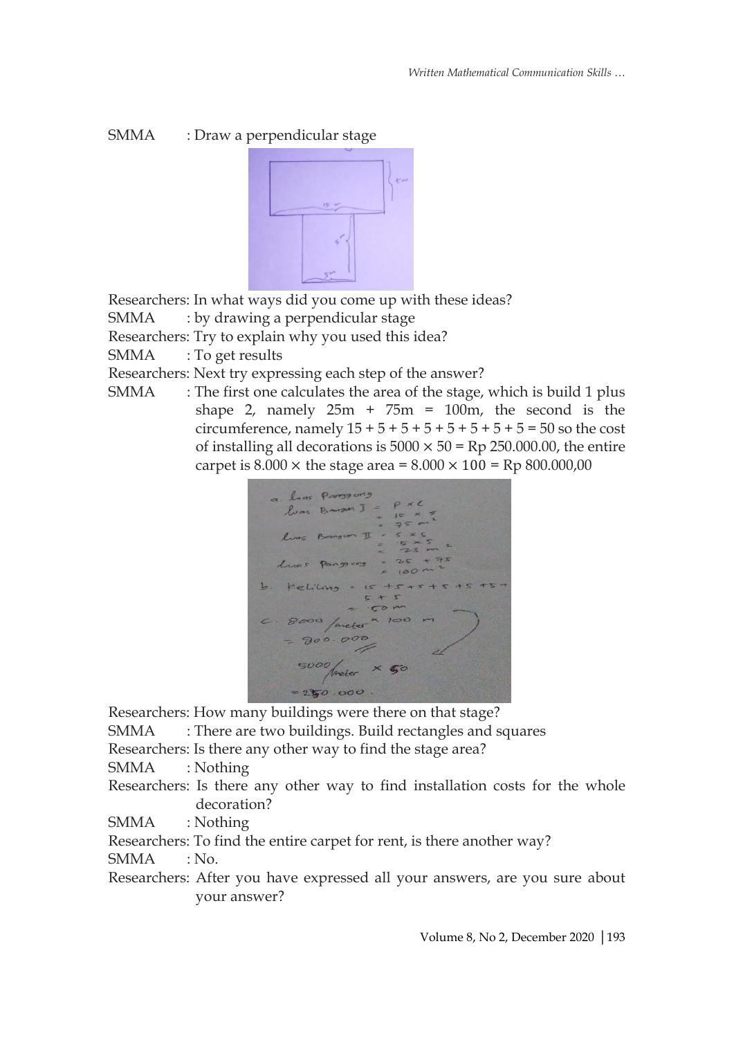# SMMA : Draw a perpendicular stage



Researchers: In what ways did you come up with these ideas?

SMMA : by drawing a perpendicular stage

Researchers: Try to explain why you used this idea?

SMMA : To get results

Researchers: Next try expressing each step of the answer?

SMMA : The first one calculates the area of the stage, which is build 1 plus shape 2, namely  $25m + 75m = 100m$ , the second is the circumference, namely  $15 + 5 + 5 + 5 + 5 + 5 + 5 + 5 = 50$  so the cost of installing all decorations is  $5000 \times 50 =$  Rp 250.000.00, the entire carpet is  $8.000 \times$  the stage area =  $8.000 \times 100 =$  Rp  $800.000,00$ 



Researchers: How many buildings were there on that stage?

SMMA : There are two buildings. Build rectangles and squares

Researchers: Is there any other way to find the stage area?

SMMA : Nothing

Researchers: Is there any other way to find installation costs for the whole decoration?

SMMA : Nothing

Researchers: To find the entire carpet for rent, is there another way?

SMMA : No.

Researchers: After you have expressed all your answers, are you sure about your answer?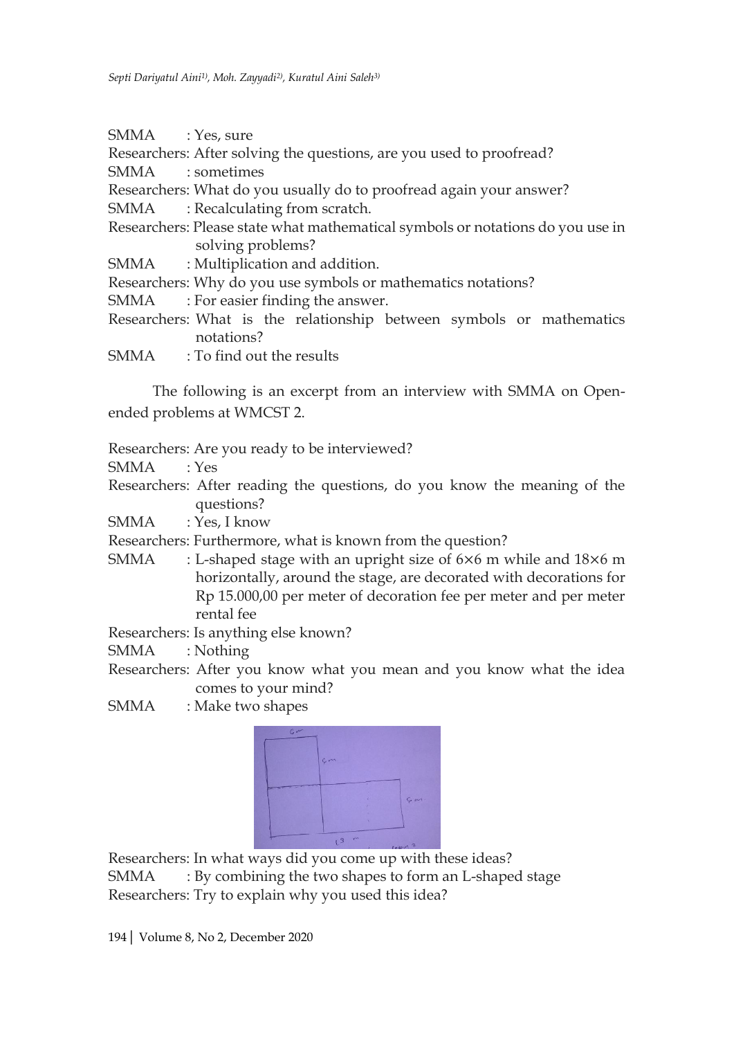- SMMA : Yes, sure
- Researchers: After solving the questions, are you used to proofread?
- SMMA : sometimes
- Researchers: What do you usually do to proofread again your answer?
- SMMA : Recalculating from scratch.
- Researchers: Please state what mathematical symbols or notations do you use in solving problems?
- SMMA : Multiplication and addition.
- Researchers: Why do you use symbols or mathematics notations?
- SMMA : For easier finding the answer.
- Researchers: What is the relationship between symbols or mathematics notations?
- SMMA : To find out the results

The following is an excerpt from an interview with SMMA on Openended problems at WMCST 2.

Researchers: Are you ready to be interviewed?

- SMMA : Yes
- Researchers: After reading the questions, do you know the meaning of the questions?

SMMA : Yes, I know

Researchers: Furthermore, what is known from the question?

SMMA : L-shaped stage with an upright size of 6×6 m while and 18×6 m horizontally, around the stage, are decorated with decorations for Rp 15.000,00 per meter of decoration fee per meter and per meter rental fee

Researchers: Is anything else known?

SMMA : Nothing

Researchers: After you know what you mean and you know what the idea comes to your mind?

SMMA : Make two shapes



Researchers: In what ways did you come up with these ideas? SMMA : By combining the two shapes to form an L-shaped stage

Researchers: Try to explain why you used this idea?

194| Volume 8, No 2, December 2020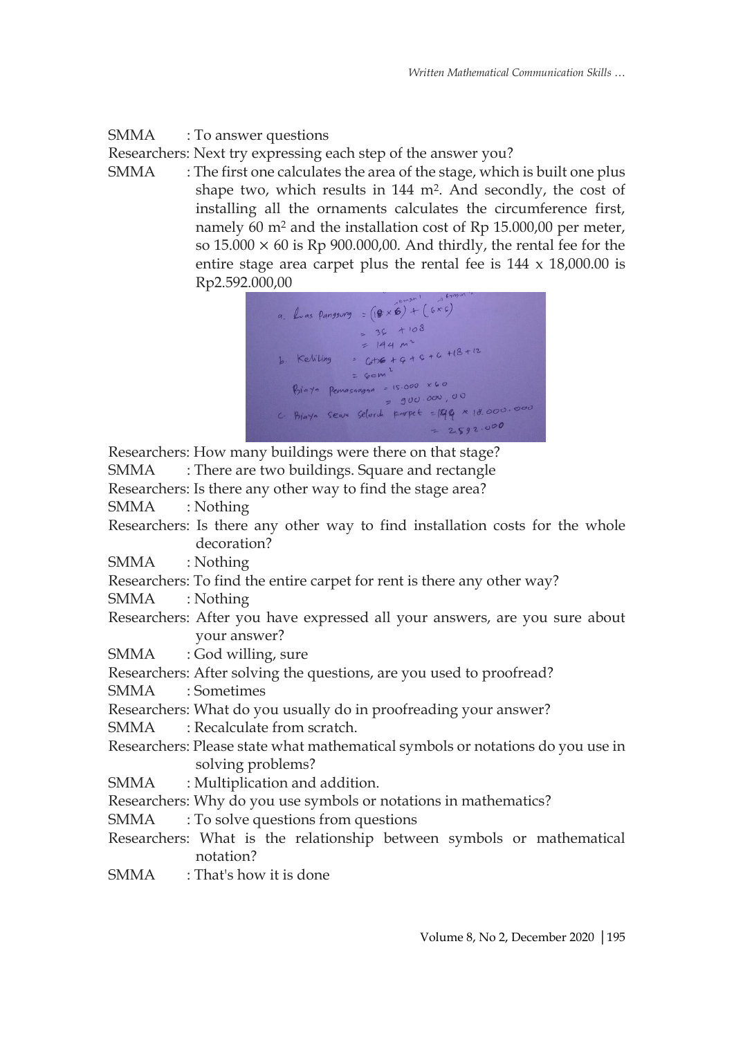SMMA : To answer questions

Researchers: Next try expressing each step of the answer you?

SMMA : The first one calculates the area of the stage, which is built one plus shape two, which results in 144 m<sup>2</sup>. And secondly, the cost of installing all the ornaments calculates the circumference first, namely 60 m<sup>2</sup> and the installation cost of Rp 15.000,00 per meter, so  $15.000 \times 60$  is Rp  $900.000,00$ . And thirdly, the rental fee for the entire stage area carpet plus the rental fee is 144 x 18,000.00 is Rp2.592.000,00



Researchers: How many buildings were there on that stage? SMMA : There are two buildings. Square and rectangle

Researchers: Is there any other way to find the stage area?

SMMA : Nothing

Researchers: Is there any other way to find installation costs for the whole decoration?

SMMA : Nothing

Researchers: To find the entire carpet for rent is there any other way?

- SMMA : Nothing
- Researchers: After you have expressed all your answers, are you sure about your answer?
- SMMA : God willing, sure

Researchers: After solving the questions, are you used to proofread?

SMMA : Sometimes

Researchers: What do you usually do in proofreading your answer?

SMMA : Recalculate from scratch.

- Researchers: Please state what mathematical symbols or notations do you use in solving problems?
- SMMA : Multiplication and addition.

Researchers: Why do you use symbols or notations in mathematics?

- SMMA : To solve questions from questions
- Researchers: What is the relationship between symbols or mathematical notation?
- SMMA : That's how it is done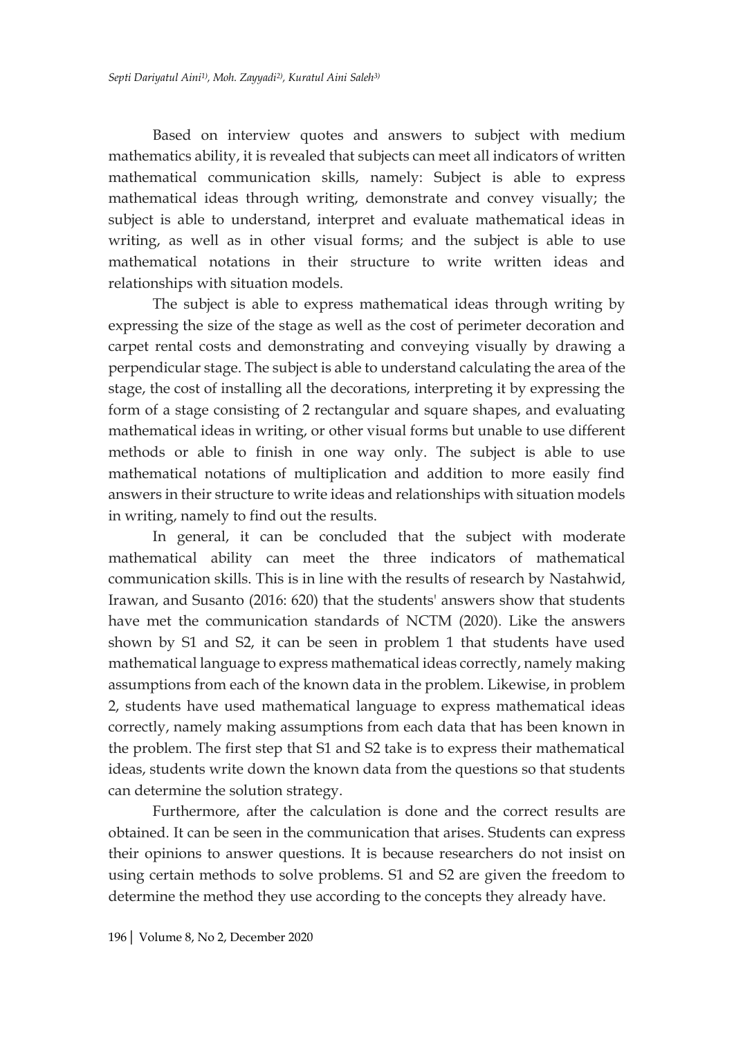Based on interview quotes and answers to subject with medium mathematics ability, it is revealed that subjects can meet all indicators of written mathematical communication skills, namely: Subject is able to express mathematical ideas through writing, demonstrate and convey visually; the subject is able to understand, interpret and evaluate mathematical ideas in writing, as well as in other visual forms; and the subject is able to use mathematical notations in their structure to write written ideas and relationships with situation models.

The subject is able to express mathematical ideas through writing by expressing the size of the stage as well as the cost of perimeter decoration and carpet rental costs and demonstrating and conveying visually by drawing a perpendicular stage. The subject is able to understand calculating the area of the stage, the cost of installing all the decorations, interpreting it by expressing the form of a stage consisting of 2 rectangular and square shapes, and evaluating mathematical ideas in writing, or other visual forms but unable to use different methods or able to finish in one way only. The subject is able to use mathematical notations of multiplication and addition to more easily find answers in their structure to write ideas and relationships with situation models in writing, namely to find out the results.

In general, it can be concluded that the subject with moderate mathematical ability can meet the three indicators of mathematical communication skills. This is in line with the results of research by Nastahwid, Irawan, and Susanto (2016: 620) that the students' answers show that students have met the communication standards of NCTM (2020). Like the answers shown by S1 and S2, it can be seen in problem 1 that students have used mathematical language to express mathematical ideas correctly, namely making assumptions from each of the known data in the problem. Likewise, in problem 2, students have used mathematical language to express mathematical ideas correctly, namely making assumptions from each data that has been known in the problem. The first step that S1 and S2 take is to express their mathematical ideas, students write down the known data from the questions so that students can determine the solution strategy.

Furthermore, after the calculation is done and the correct results are obtained. It can be seen in the communication that arises. Students can express their opinions to answer questions. It is because researchers do not insist on using certain methods to solve problems. S1 and S2 are given the freedom to determine the method they use according to the concepts they already have.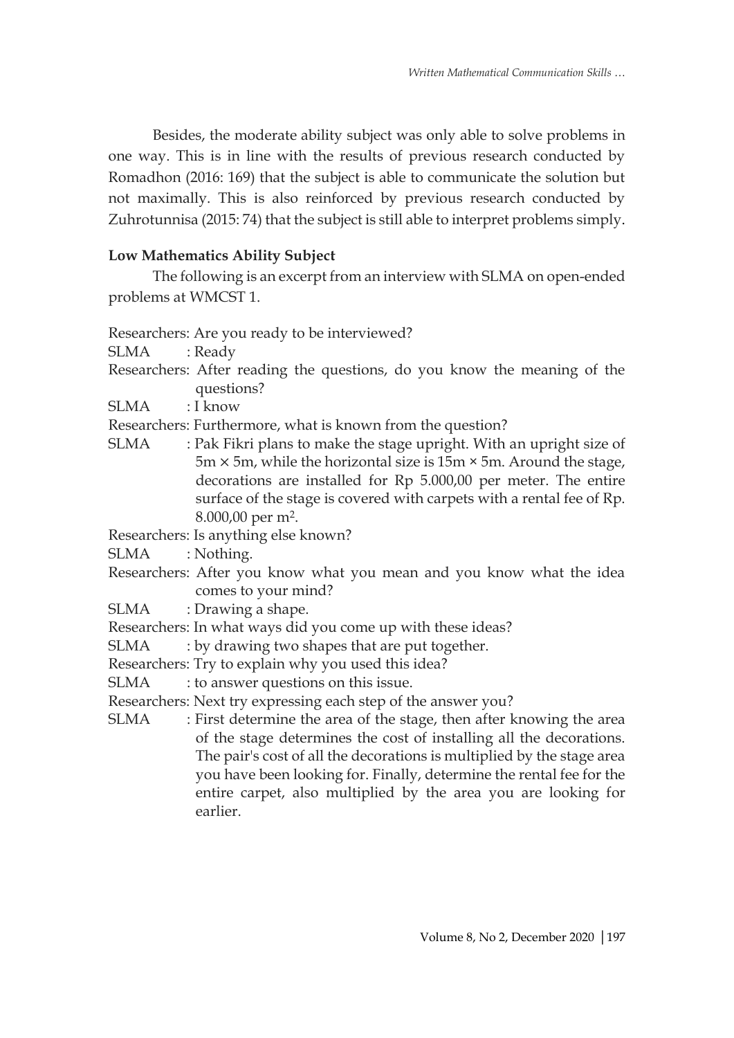Besides, the moderate ability subject was only able to solve problems in one way. This is in line with the results of previous research conducted by Romadhon (2016: 169) that the subject is able to communicate the solution but not maximally. This is also reinforced by previous research conducted by Zuhrotunnisa (2015: 74) that the subject is still able to interpret problems simply.

# **Low Mathematics Ability Subject**

The following is an excerpt from an interview with SLMA on open-ended problems at WMCST 1.

Researchers: Are you ready to be interviewed?

SLMA : Ready

- Researchers: After reading the questions, do you know the meaning of the questions?
- SLMA : I know

Researchers: Furthermore, what is known from the question?

SLMA : Pak Fikri plans to make the stage upright. With an upright size of  $5m \times 5m$ , while the horizontal size is  $15m \times 5m$ . Around the stage, decorations are installed for Rp 5.000,00 per meter. The entire surface of the stage is covered with carpets with a rental fee of Rp. 8.000,00 per m2.

Researchers: Is anything else known?

SLMA : Nothing.

Researchers: After you know what you mean and you know what the idea comes to your mind?

SLMA : Drawing a shape.

Researchers: In what ways did you come up with these ideas?

SLMA : by drawing two shapes that are put together.

Researchers: Try to explain why you used this idea?

- SLMA : to answer questions on this issue.
- Researchers: Next try expressing each step of the answer you?
- SLMA : First determine the area of the stage, then after knowing the area of the stage determines the cost of installing all the decorations. The pair's cost of all the decorations is multiplied by the stage area you have been looking for. Finally, determine the rental fee for the entire carpet, also multiplied by the area you are looking for earlier.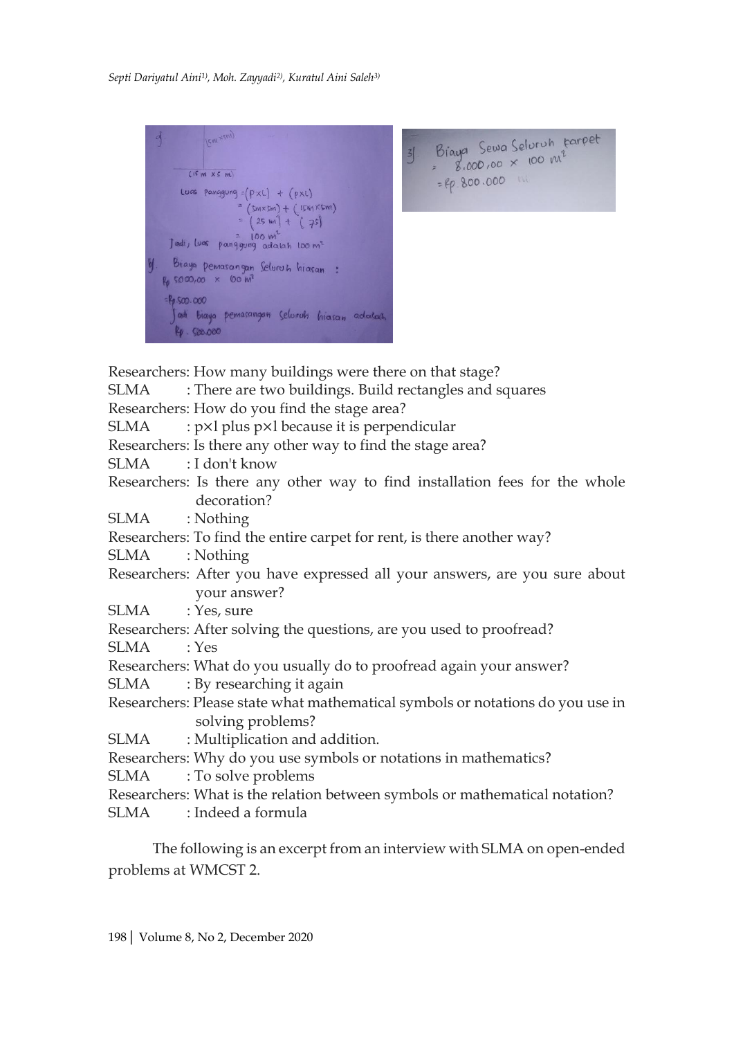IEW KERY) Braya Sewa Selvruh tarpet  $\frac{1}{2}$  Seven selection with 8.000,00 x 100 m<sup>2</sup>  $(15 \text{ m} \times 5 \text{ m})$ =  $e\rho.800.000$  M Luas panggung =  $(P \times C)$  +  $(p \times C)$  $(SmxSm) + (1smXSm)$  $(25 \text{ m}) + (75)$ Jadi, Luas panggung adalah 100 m<sup>2</sup> Biaya pemasangan Seluruh hiasan:  $R_0$  5000,00  $\times$  00  $M^2$  $-10.500.000$ adi biaya pemasangan seluruh hiasan adalah 4.500.000

Researchers: How many buildings were there on that stage? SLMA : There are two buildings. Build rectangles and squares Researchers: How do you find the stage area? SLMA  $:$   $px$ l plus  $px$ l because it is perpendicular Researchers: Is there any other way to find the stage area? SLMA : I don't know Researchers: Is there any other way to find installation fees for the whole decoration? SLMA : Nothing Researchers: To find the entire carpet for rent, is there another way? SLMA : Nothing Researchers: After you have expressed all your answers, are you sure about your answer? SLMA : Yes, sure Researchers: After solving the questions, are you used to proofread? SLMA : Yes Researchers: What do you usually do to proofread again your answer? SLMA : By researching it again Researchers: Please state what mathematical symbols or notations do you use in solving problems? SLMA : Multiplication and addition. Researchers: Why do you use symbols or notations in mathematics? SLMA : To solve problems Researchers: What is the relation between symbols or mathematical notation?

SLMA : Indeed a formula

The following is an excerpt from an interview with SLMA on open-ended problems at WMCST 2.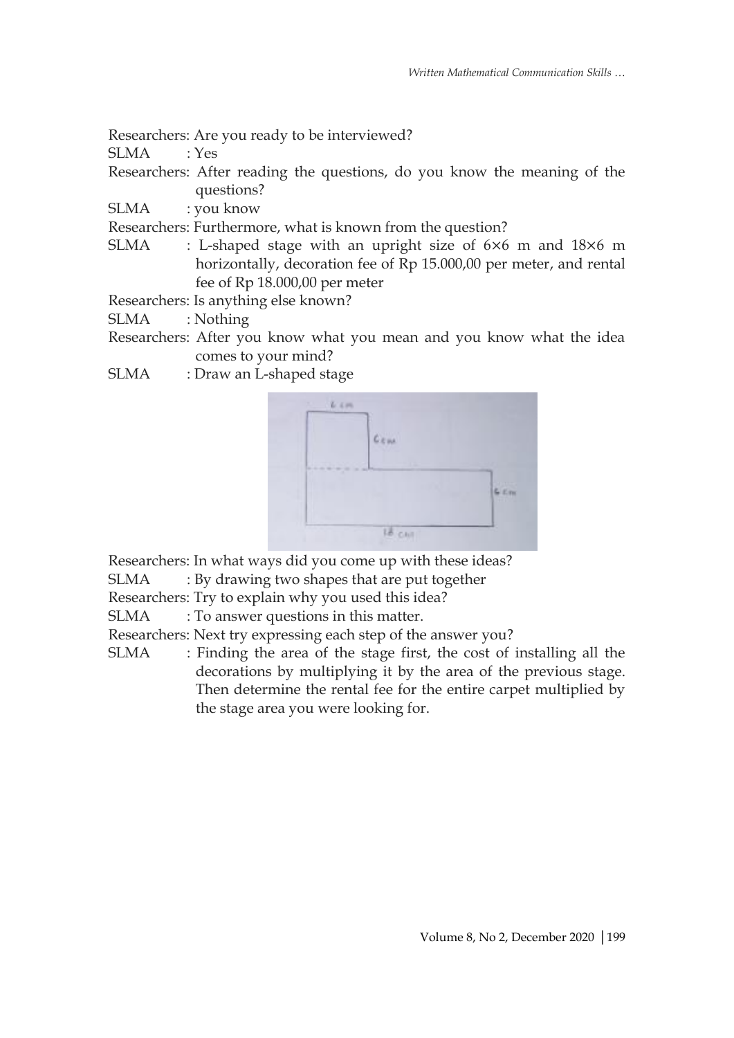Researchers: Are you ready to be interviewed?

SLMA : Yes

Researchers: After reading the questions, do you know the meaning of the questions?

SLMA : you know

Researchers: Furthermore, what is known from the question?

SLMA : L-shaped stage with an upright size of 6×6 m and 18×6 m horizontally, decoration fee of Rp 15.000,00 per meter, and rental fee of Rp 18.000,00 per meter

Researchers: Is anything else known?

SLMA : Nothing

- Researchers: After you know what you mean and you know what the idea comes to your mind?
- SLMA : Draw an L-shaped stage



Researchers: In what ways did you come up with these ideas?

SLMA : By drawing two shapes that are put together

Researchers: Try to explain why you used this idea?

SLMA : To answer questions in this matter.

Researchers: Next try expressing each step of the answer you?

SLMA : Finding the area of the stage first, the cost of installing all the decorations by multiplying it by the area of the previous stage. Then determine the rental fee for the entire carpet multiplied by the stage area you were looking for.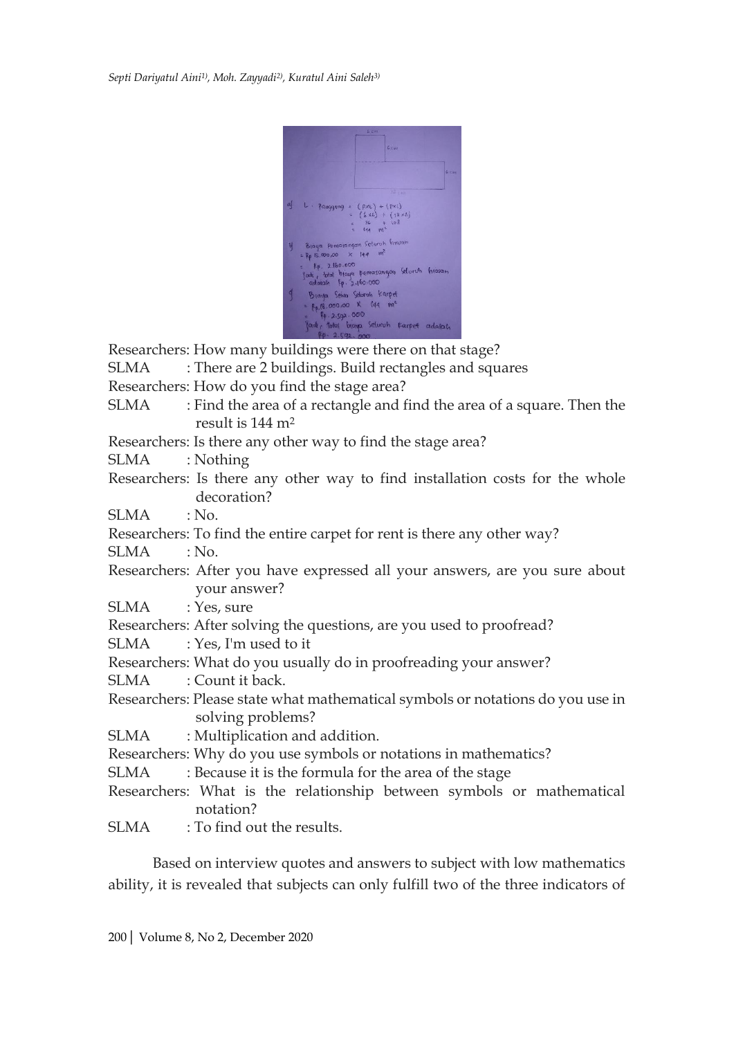

Researchers: How many buildings were there on that stage?

- SLMA : There are 2 buildings. Build rectangles and squares
- Researchers: How do you find the stage area?
- SLMA : Find the area of a rectangle and find the area of a square. Then the result is 144 m<sup>2</sup>

Researchers: Is there any other way to find the stage area?

SLMA : Nothing

- Researchers: Is there any other way to find installation costs for the whole decoration?
- SLMA : No.
- Researchers: To find the entire carpet for rent is there any other way?

SLMA : No.

- Researchers: After you have expressed all your answers, are you sure about your answer?
- SLMA : Yes, sure
- Researchers: After solving the questions, are you used to proofread?
- SLMA : Yes, I'm used to it
- Researchers: What do you usually do in proofreading your answer?
- SLMA : Count it back.
- Researchers: Please state what mathematical symbols or notations do you use in solving problems?
- SLMA : Multiplication and addition.
- Researchers: Why do you use symbols or notations in mathematics?
- SLMA : Because it is the formula for the area of the stage
- Researchers: What is the relationship between symbols or mathematical notation?
- SLMA : To find out the results.

Based on interview quotes and answers to subject with low mathematics ability, it is revealed that subjects can only fulfill two of the three indicators of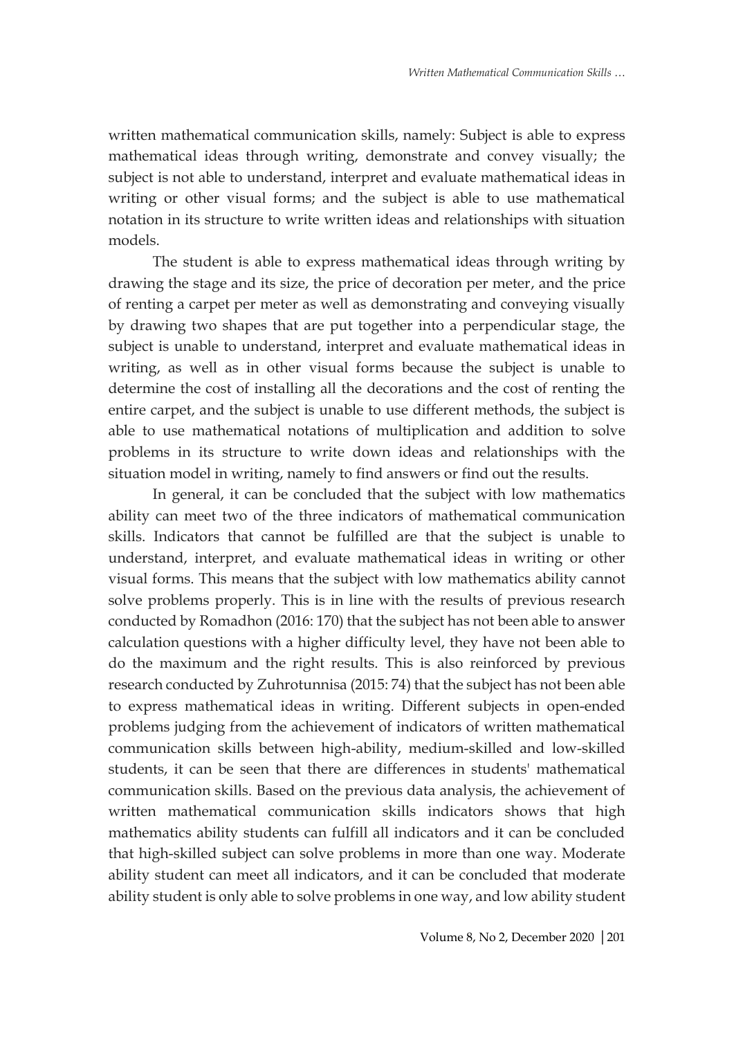written mathematical communication skills, namely: Subject is able to express mathematical ideas through writing, demonstrate and convey visually; the subject is not able to understand, interpret and evaluate mathematical ideas in writing or other visual forms; and the subject is able to use mathematical notation in its structure to write written ideas and relationships with situation models.

The student is able to express mathematical ideas through writing by drawing the stage and its size, the price of decoration per meter, and the price of renting a carpet per meter as well as demonstrating and conveying visually by drawing two shapes that are put together into a perpendicular stage, the subject is unable to understand, interpret and evaluate mathematical ideas in writing, as well as in other visual forms because the subject is unable to determine the cost of installing all the decorations and the cost of renting the entire carpet, and the subject is unable to use different methods, the subject is able to use mathematical notations of multiplication and addition to solve problems in its structure to write down ideas and relationships with the situation model in writing, namely to find answers or find out the results.

In general, it can be concluded that the subject with low mathematics ability can meet two of the three indicators of mathematical communication skills. Indicators that cannot be fulfilled are that the subject is unable to understand, interpret, and evaluate mathematical ideas in writing or other visual forms. This means that the subject with low mathematics ability cannot solve problems properly. This is in line with the results of previous research conducted by Romadhon (2016: 170) that the subject has not been able to answer calculation questions with a higher difficulty level, they have not been able to do the maximum and the right results. This is also reinforced by previous research conducted by Zuhrotunnisa (2015: 74) that the subject has not been able to express mathematical ideas in writing. Different subjects in open-ended problems judging from the achievement of indicators of written mathematical communication skills between high-ability, medium-skilled and low-skilled students, it can be seen that there are differences in students' mathematical communication skills. Based on the previous data analysis, the achievement of written mathematical communication skills indicators shows that high mathematics ability students can fulfill all indicators and it can be concluded that high-skilled subject can solve problems in more than one way. Moderate ability student can meet all indicators, and it can be concluded that moderate ability student is only able to solve problems in one way, and low ability student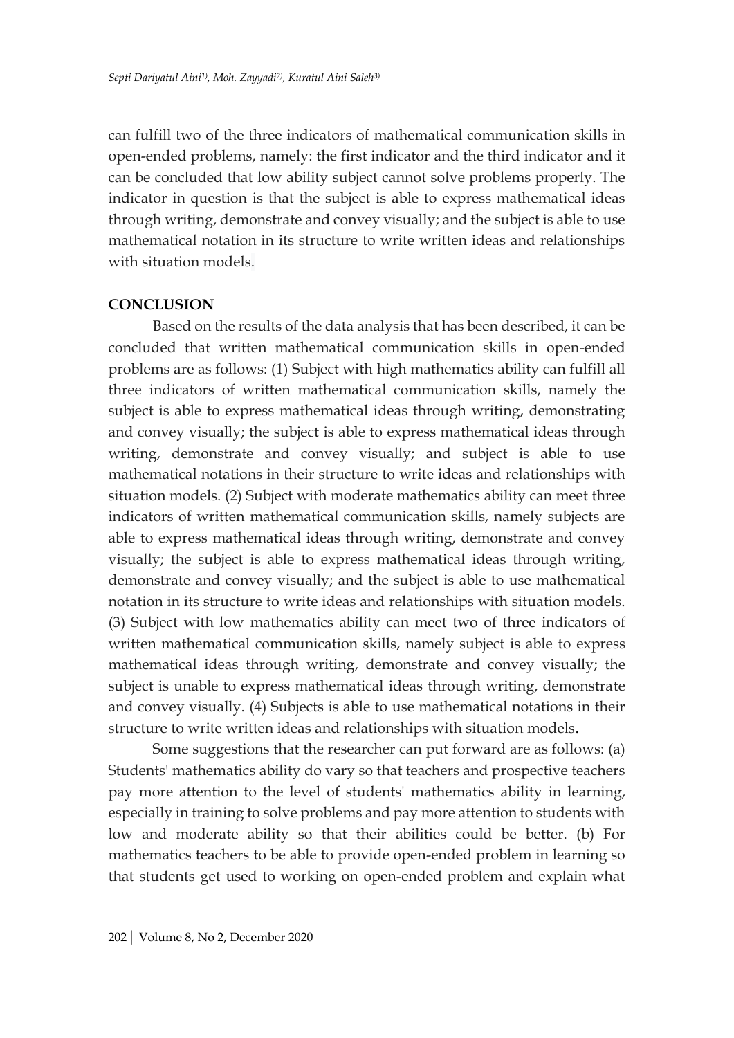can fulfill two of the three indicators of mathematical communication skills in open-ended problems, namely: the first indicator and the third indicator and it can be concluded that low ability subject cannot solve problems properly. The indicator in question is that the subject is able to express mathematical ideas through writing, demonstrate and convey visually; and the subject is able to use mathematical notation in its structure to write written ideas and relationships with situation models.

#### **CONCLUSION**

Based on the results of the data analysis that has been described, it can be concluded that written mathematical communication skills in open-ended problems are as follows: (1) Subject with high mathematics ability can fulfill all three indicators of written mathematical communication skills, namely the subject is able to express mathematical ideas through writing, demonstrating and convey visually; the subject is able to express mathematical ideas through writing, demonstrate and convey visually; and subject is able to use mathematical notations in their structure to write ideas and relationships with situation models. (2) Subject with moderate mathematics ability can meet three indicators of written mathematical communication skills, namely subjects are able to express mathematical ideas through writing, demonstrate and convey visually; the subject is able to express mathematical ideas through writing, demonstrate and convey visually; and the subject is able to use mathematical notation in its structure to write ideas and relationships with situation models. (3) Subject with low mathematics ability can meet two of three indicators of written mathematical communication skills, namely subject is able to express mathematical ideas through writing, demonstrate and convey visually; the subject is unable to express mathematical ideas through writing, demonstrate and convey visually. (4) Subjects is able to use mathematical notations in their structure to write written ideas and relationships with situation models.

Some suggestions that the researcher can put forward are as follows: (a) Students' mathematics ability do vary so that teachers and prospective teachers pay more attention to the level of students' mathematics ability in learning, especially in training to solve problems and pay more attention to students with low and moderate ability so that their abilities could be better. (b) For mathematics teachers to be able to provide open-ended problem in learning so that students get used to working on open-ended problem and explain what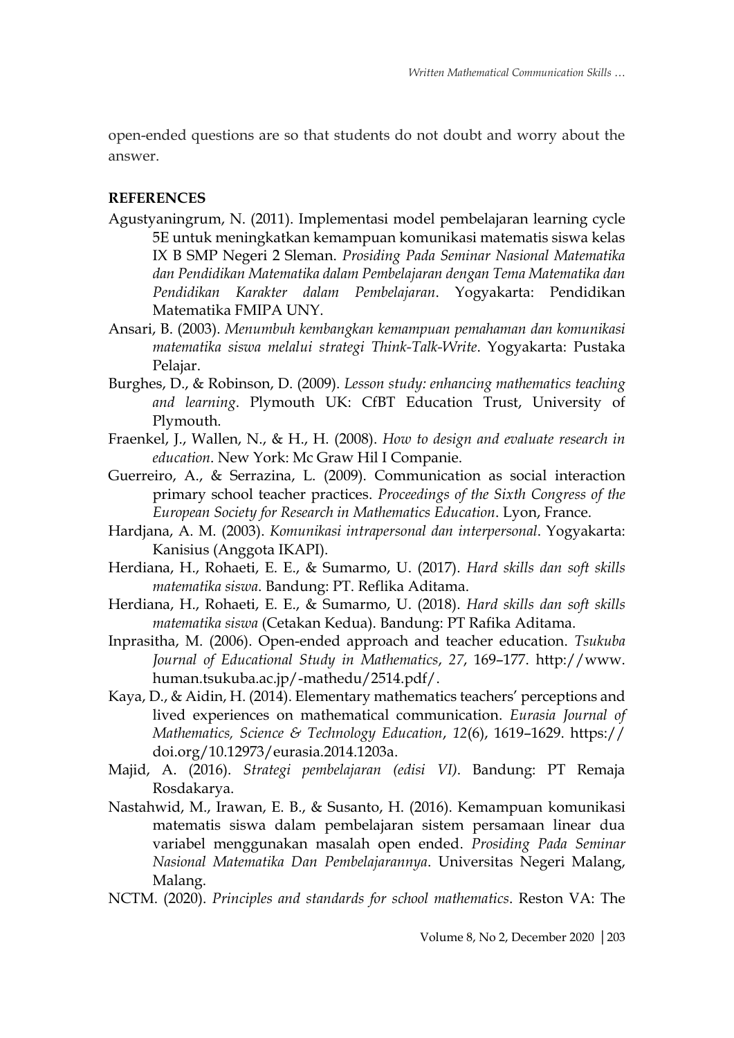open-ended questions are so that students do not doubt and worry about the answer.

### **REFERENCES**

- Agustyaningrum, N. (2011). Implementasi model pembelajaran learning cycle 5E untuk meningkatkan kemampuan komunikasi matematis siswa kelas IX B SMP Negeri 2 Sleman. *Prosiding Pada Seminar Nasional Matematika dan Pendidikan Matematika dalam Pembelajaran dengan Tema Matematika dan Pendidikan Karakter dalam Pembelajaran*. Yogyakarta: Pendidikan Matematika FMIPA UNY.
- Ansari, B. (2003). *Menumbuh kembangkan kemampuan pemahaman dan komunikasi matematika siswa melalui strategi Think-Talk-Write*. Yogyakarta: Pustaka Pelajar.
- Burghes, D., & Robinson, D. (2009). *Lesson study: enhancing mathematics teaching and learning*. Plymouth UK: CfBT Education Trust, University of Plymouth.
- Fraenkel, J., Wallen, N., & H., H. (2008). *How to design and evaluate research in education*. New York: Mc Graw Hil I Companie.
- Guerreiro, A., & Serrazina, L. (2009). Communication as social interaction primary school teacher practices. *Proceedings of the Sixth Congress of the European Society for Research in Mathematics Education*. Lyon, France.
- Hardjana, A. M. (2003). *Komunikasi intrapersonal dan interpersonal*. Yogyakarta: Kanisius (Anggota IKAPI).
- Herdiana, H., Rohaeti, E. E., & Sumarmo, U. (2017). *Hard skills dan soft skills matematika siswa*. Bandung: PT. Reflika Aditama.
- Herdiana, H., Rohaeti, E. E., & Sumarmo, U. (2018). *Hard skills dan soft skills matematika siswa* (Cetakan Kedua). Bandung: PT Rafika Aditama.
- Inprasitha, M. (2006). Open-ended approach and teacher education. *Tsukuba Journal of Educational Study in Mathematics*, *27*, 169–177. http://www. human.tsukuba.ac.jp/-mathedu/2514.pdf/.
- Kaya, D., & Aidin, H. (2014). Elementary mathematics teachers' perceptions and lived experiences on mathematical communication. *Eurasia Journal of Mathematics, Science & Technology Education*, *12*(6), 1619–1629. https:// doi.org/10.12973/eurasia.2014.1203a.
- Majid, A. (2016). *Strategi pembelajaran (edisi VI)*. Bandung: PT Remaja Rosdakarya.
- Nastahwid, M., Irawan, E. B., & Susanto, H. (2016). Kemampuan komunikasi matematis siswa dalam pembelajaran sistem persamaan linear dua variabel menggunakan masalah open ended. *Prosiding Pada Seminar Nasional Matematika Dan Pembelajarannya*. Universitas Negeri Malang, Malang.
- NCTM. (2020). *Principles and standards for school mathematics*. Reston VA: The